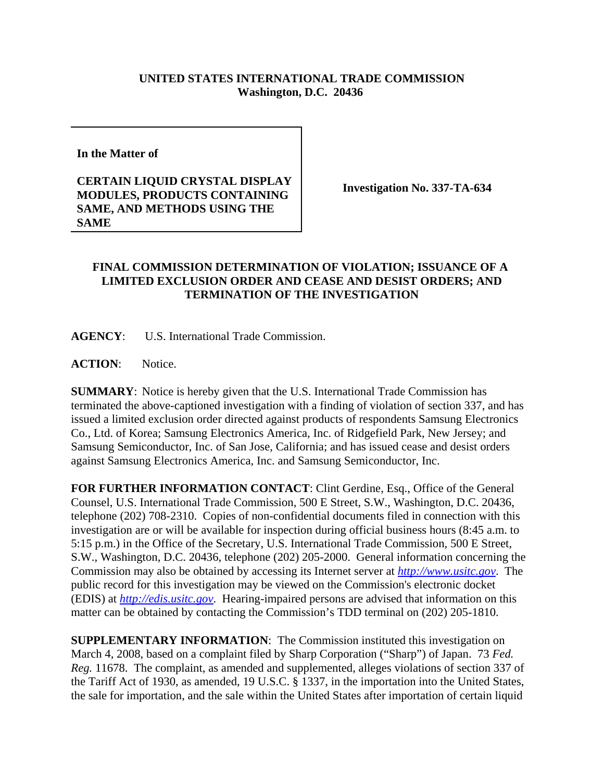## **UNITED STATES INTERNATIONAL TRADE COMMISSION Washington, D.C. 20436**

**In the Matter of** 

## **CERTAIN LIQUID CRYSTAL DISPLAY MODULES, PRODUCTS CONTAINING SAME, AND METHODS USING THE SAME**

**Investigation No. 337-TA-634**

## **FINAL COMMISSION DETERMINATION OF VIOLATION; ISSUANCE OF A LIMITED EXCLUSION ORDER AND CEASE AND DESIST ORDERS; AND TERMINATION OF THE INVESTIGATION**

**AGENCY**: U.S. International Trade Commission.

**ACTION**: Notice.

**SUMMARY**: Notice is hereby given that the U.S. International Trade Commission has terminated the above-captioned investigation with a finding of violation of section 337, and has issued a limited exclusion order directed against products of respondents Samsung Electronics Co., Ltd. of Korea; Samsung Electronics America, Inc. of Ridgefield Park, New Jersey; and Samsung Semiconductor, Inc. of San Jose, California; and has issued cease and desist orders against Samsung Electronics America, Inc. and Samsung Semiconductor, Inc.

**FOR FURTHER INFORMATION CONTACT**: Clint Gerdine, Esq., Office of the General Counsel, U.S. International Trade Commission, 500 E Street, S.W., Washington, D.C. 20436, telephone (202) 708-2310. Copies of non-confidential documents filed in connection with this investigation are or will be available for inspection during official business hours (8:45 a.m. to 5:15 p.m.) in the Office of the Secretary, U.S. International Trade Commission, 500 E Street, S.W., Washington, D.C. 20436, telephone (202) 205-2000. General information concerning the Commission may also be obtained by accessing its Internet server at *http://www.usitc.gov*. The public record for this investigation may be viewed on the Commission's electronic docket (EDIS) at *http://edis.usitc.gov*. Hearing-impaired persons are advised that information on this matter can be obtained by contacting the Commission's TDD terminal on (202) 205-1810.

**SUPPLEMENTARY INFORMATION**: The Commission instituted this investigation on March 4, 2008, based on a complaint filed by Sharp Corporation ("Sharp") of Japan. 73 *Fed. Reg.* 11678. The complaint, as amended and supplemented, alleges violations of section 337 of the Tariff Act of 1930, as amended, 19 U.S.C. § 1337, in the importation into the United States, the sale for importation, and the sale within the United States after importation of certain liquid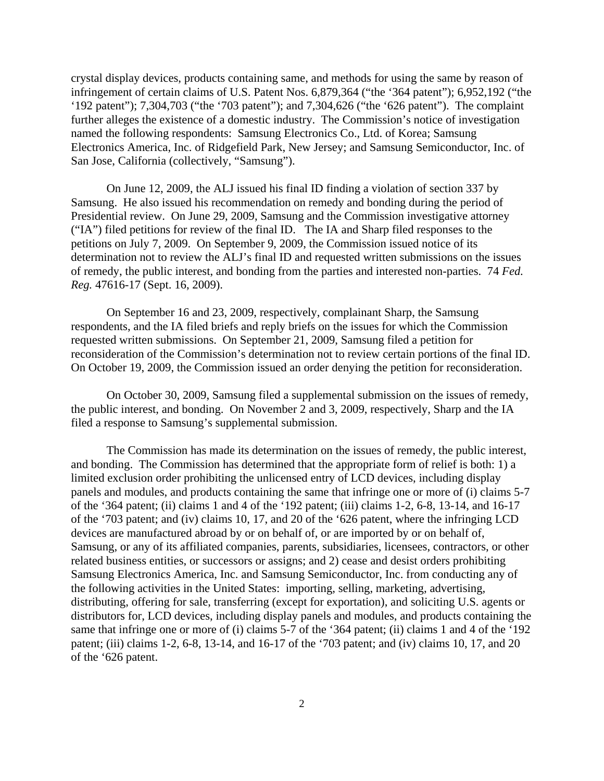crystal display devices, products containing same, and methods for using the same by reason of infringement of certain claims of U.S. Patent Nos. 6,879,364 ("the '364 patent"); 6,952,192 ("the '192 patent"); 7,304,703 ("the '703 patent"); and 7,304,626 ("the '626 patent"). The complaint further alleges the existence of a domestic industry. The Commission's notice of investigation named the following respondents: Samsung Electronics Co., Ltd. of Korea; Samsung Electronics America, Inc. of Ridgefield Park, New Jersey; and Samsung Semiconductor, Inc. of San Jose, California (collectively, "Samsung").

On June 12, 2009, the ALJ issued his final ID finding a violation of section 337 by Samsung. He also issued his recommendation on remedy and bonding during the period of Presidential review. On June 29, 2009, Samsung and the Commission investigative attorney ("IA") filed petitions for review of the final ID. The IA and Sharp filed responses to the petitions on July 7, 2009. On September 9, 2009, the Commission issued notice of its determination not to review the ALJ's final ID and requested written submissions on the issues of remedy, the public interest, and bonding from the parties and interested non-parties. 74 *Fed. Reg.* 47616-17 (Sept. 16, 2009).

On September 16 and 23, 2009, respectively, complainant Sharp, the Samsung respondents, and the IA filed briefs and reply briefs on the issues for which the Commission requested written submissions. On September 21, 2009, Samsung filed a petition for reconsideration of the Commission's determination not to review certain portions of the final ID. On October 19, 2009, the Commission issued an order denying the petition for reconsideration.

On October 30, 2009, Samsung filed a supplemental submission on the issues of remedy, the public interest, and bonding. On November 2 and 3, 2009, respectively, Sharp and the IA filed a response to Samsung's supplemental submission.

The Commission has made its determination on the issues of remedy, the public interest, and bonding. The Commission has determined that the appropriate form of relief is both: 1) a limited exclusion order prohibiting the unlicensed entry of LCD devices, including display panels and modules, and products containing the same that infringe one or more of (i) claims 5-7 of the '364 patent; (ii) claims 1 and 4 of the '192 patent; (iii) claims 1-2, 6-8, 13-14, and 16-17 of the '703 patent; and (iv) claims 10, 17, and 20 of the '626 patent, where the infringing LCD devices are manufactured abroad by or on behalf of, or are imported by or on behalf of, Samsung, or any of its affiliated companies, parents, subsidiaries, licensees, contractors, or other related business entities, or successors or assigns; and 2) cease and desist orders prohibiting Samsung Electronics America, Inc. and Samsung Semiconductor, Inc. from conducting any of the following activities in the United States: importing, selling, marketing, advertising, distributing, offering for sale, transferring (except for exportation), and soliciting U.S. agents or distributors for, LCD devices, including display panels and modules, and products containing the same that infringe one or more of (i) claims 5-7 of the '364 patent; (ii) claims 1 and 4 of the '192 patent; (iii) claims 1-2, 6-8, 13-14, and 16-17 of the '703 patent; and (iv) claims 10, 17, and 20 of the '626 patent.